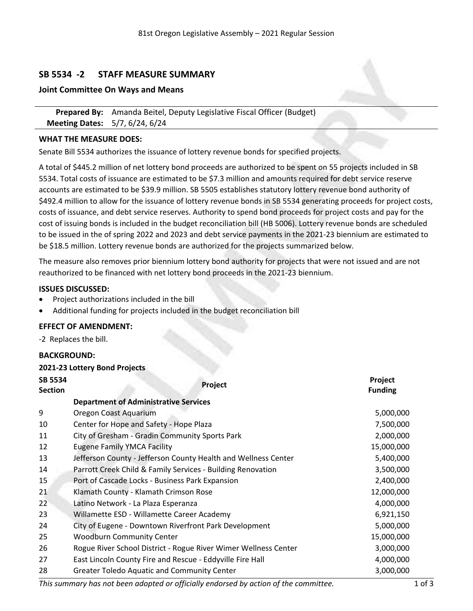# **SB 5534 -2 STAFF MEASURE SUMMARY**

#### **Joint Committee On Ways and Means**

**Prepared By:** Amanda Beitel, Deputy Legislative Fiscal Officer (Budget) **Meeting Dates:** 5/7, 6/24, 6/24

### **WHAT THE MEASURE DOES:**

Senate Bill 5534 authorizes the issuance of lottery revenue bonds for specified projects.

<sup>A</sup> total of \$445.2 million of net lottery bond proceeds are authorized to be spent on <sup>55</sup> projects included in SB 5534. Total costs of issuance are estimated to be \$7.3 million and amounts required for debt service reserve accounts are estimated to be \$39.9 million. SB 5505 establishes statutory lottery revenue bond authority of \$492.4 million to allow for the issuance of lottery revenue bonds in SB 5534 generating proceeds for project costs, costs of issuance, and debt service reserves. Authority to spend bond proceeds for project costs and pay for the cost of issuing bonds is included in the budget reconciliation bill (HB 5006). Lottery revenue bonds are scheduled to be issued in the of spring 2022 and 2023 and debt service payments in the 2021-23 biennium are estimated to be \$18.5 million. Lottery revenue bonds are authorized for the projects summarized below.

The measure also removes prior biennium lottery bond authority for projects that were not issued and are not reauthorized to be financed with net lottery bond proceeds in the 2021-23 biennium.

#### **ISSUES DISCUSSED:**

- . Project authorizations included in the bill
- . Additional funding for projects included in the budget reconciliation bill

### **EFFECT OF AMENDMENT:**

**2021-23 Lottery Bond Projects**

-2 Replaces the bill.

### **BACKGROUND:**

| <b>ZUZI-Z3 LOTTERY BONG PROJECTS</b>                                                                                                                                                             |                                                                 |                           |  |  |  |
|--------------------------------------------------------------------------------------------------------------------------------------------------------------------------------------------------|-----------------------------------------------------------------|---------------------------|--|--|--|
| SB 5534<br><b>Section</b>                                                                                                                                                                        | Project                                                         | Project<br><b>Funding</b> |  |  |  |
|                                                                                                                                                                                                  | <b>Department of Administrative Services</b>                    |                           |  |  |  |
| 9                                                                                                                                                                                                | Oregon Coast Aquarium                                           | 5,000,000                 |  |  |  |
| 10                                                                                                                                                                                               | Center for Hope and Safety - Hope Plaza                         | 7,500,000                 |  |  |  |
| 11                                                                                                                                                                                               | City of Gresham - Gradin Community Sports Park                  | 2,000,000                 |  |  |  |
| 12                                                                                                                                                                                               | <b>Eugene Family YMCA Facility</b>                              | 15,000,000                |  |  |  |
| 13                                                                                                                                                                                               | Jefferson County - Jefferson County Health and Wellness Center  | 5,400,000                 |  |  |  |
| 14                                                                                                                                                                                               | Parrott Creek Child & Family Services - Building Renovation     | 3,500,000                 |  |  |  |
| 15                                                                                                                                                                                               | Port of Cascade Locks - Business Park Expansion                 | 2,400,000                 |  |  |  |
| 21                                                                                                                                                                                               | Klamath County - Klamath Crimson Rose                           | 12,000,000                |  |  |  |
| 22                                                                                                                                                                                               | Latino Network - La Plaza Esperanza                             | 4,000,000                 |  |  |  |
| 23                                                                                                                                                                                               | Willamette ESD - Willamette Career Academy                      | 6,921,150                 |  |  |  |
| 24                                                                                                                                                                                               | City of Eugene - Downtown Riverfront Park Development           | 5,000,000                 |  |  |  |
| 25                                                                                                                                                                                               | <b>Woodburn Community Center</b>                                | 15,000,000                |  |  |  |
| 26                                                                                                                                                                                               | Rogue River School District - Rogue River Wimer Wellness Center | 3,000,000                 |  |  |  |
| 27                                                                                                                                                                                               | East Lincoln County Fire and Rescue - Eddyville Fire Hall       | 4,000,000                 |  |  |  |
| 28                                                                                                                                                                                               | <b>Greater Toledo Aquatic and Community Center</b>              | 3,000,000                 |  |  |  |
| — <b>.</b> .<br>$\mathbf{r}$ , $\mathbf{r}$ , $\mathbf{r}$ , $\mathbf{r}$ , $\mathbf{r}$ , $\mathbf{r}$ , $\mathbf{r}$ , $\mathbf{r}$ , $\mathbf{r}$ , $\mathbf{r}$<br>$\mathbf{r}$ .<br>$\cdot$ |                                                                 |                           |  |  |  |

*This summary has not been adopted or officially endorsed by action of the committee.* 1 of 3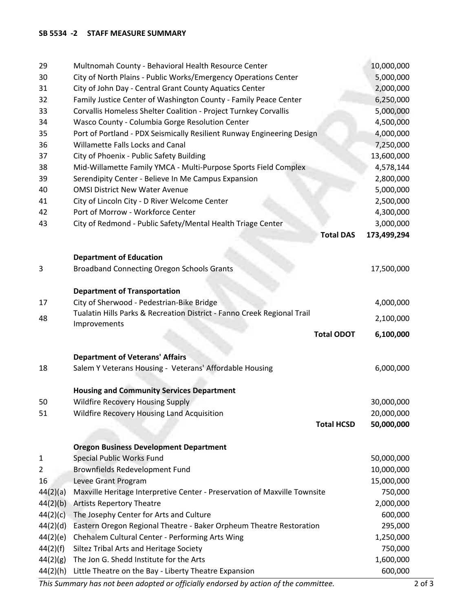#### **SB 5534 -2 STAFF MEASURE SUMMARY**

| 29       | Multnomah County - Behavioral Health Resource Center                                    | 10,000,000  |
|----------|-----------------------------------------------------------------------------------------|-------------|
| 30       | City of North Plains - Public Works/Emergency Operations Center                         | 5,000,000   |
| 31       | City of John Day - Central Grant County Aquatics Center                                 | 2,000,000   |
| 32       | Family Justice Center of Washington County - Family Peace Center                        | 6,250,000   |
| 33       | Corvallis Homeless Shelter Coalition - Project Turnkey Corvallis                        | 5,000,000   |
| 34       | Wasco County - Columbia Gorge Resolution Center                                         | 4,500,000   |
| 35       | Port of Portland - PDX Seismically Resilient Runway Engineering Design                  | 4,000,000   |
| 36       | Willamette Falls Locks and Canal                                                        | 7,250,000   |
| 37       | City of Phoenix - Public Safety Building                                                | 13,600,000  |
| 38       | Mid-Willamette Family YMCA - Multi-Purpose Sports Field Complex                         | 4,578,144   |
| 39       | Serendipity Center - Believe In Me Campus Expansion                                     | 2,800,000   |
| 40       | <b>OMSI District New Water Avenue</b>                                                   | 5,000,000   |
| 41       | City of Lincoln City - D River Welcome Center                                           | 2,500,000   |
| 42       | Port of Morrow - Workforce Center                                                       | 4,300,000   |
| 43       | City of Redmond - Public Safety/Mental Health Triage Center                             | 3,000,000   |
|          | <b>Total DAS</b>                                                                        | 173,499,294 |
|          |                                                                                         |             |
|          | <b>Department of Education</b>                                                          |             |
| 3        | <b>Broadband Connecting Oregon Schools Grants</b>                                       | 17,500,000  |
|          |                                                                                         |             |
|          | <b>Department of Transportation</b>                                                     |             |
| 17       | City of Sherwood - Pedestrian-Bike Bridge                                               | 4,000,000   |
| 48       | Tualatin Hills Parks & Recreation District - Fanno Creek Regional Trail<br>Improvements | 2,100,000   |
|          | <b>Total ODOT</b>                                                                       | 6,100,000   |
|          |                                                                                         |             |
|          | <b>Department of Veterans' Affairs</b>                                                  |             |
| 18       | Salem Y Veterans Housing - Veterans' Affordable Housing                                 | 6,000,000   |
|          |                                                                                         |             |
|          | <b>Housing and Community Services Department</b>                                        |             |
| 50       | <b>Wildfire Recovery Housing Supply</b>                                                 | 30,000,000  |
| 51       | Wildfire Recovery Housing Land Acquisition                                              | 20,000,000  |
|          | <b>Total HCSD</b>                                                                       | 50,000,000  |
|          |                                                                                         |             |
|          | <b>Oregon Business Development Department</b>                                           |             |
| 1        | Special Public Works Fund                                                               | 50,000,000  |
| 2        | Brownfields Redevelopment Fund                                                          | 10,000,000  |
| 16       | Levee Grant Program                                                                     | 15,000,000  |
| 44(2)(a) | Maxville Heritage Interpretive Center - Preservation of Maxville Townsite               | 750,000     |
| 44(2)(b) | <b>Artists Repertory Theatre</b>                                                        | 2,000,000   |
| 44(2)(c) | The Josephy Center for Arts and Culture                                                 | 600,000     |
| 44(2)(d) | Eastern Oregon Regional Theatre - Baker Orpheum Theatre Restoration                     | 295,000     |
| 44(2)(e) | Chehalem Cultural Center - Performing Arts Wing                                         | 1,250,000   |
| 44(2)(f) | Siltez Tribal Arts and Heritage Society                                                 | 750,000     |
| 44(2)(g) | The Jon G. Shedd Institute for the Arts                                                 | 1,600,000   |
| 44(2)(h) | Little Theatre on the Bay - Liberty Theatre Expansion                                   | 600,000     |
|          |                                                                                         |             |

*This Summary has not been adopted or officially endorsed by action of the committee.* 2 of 3